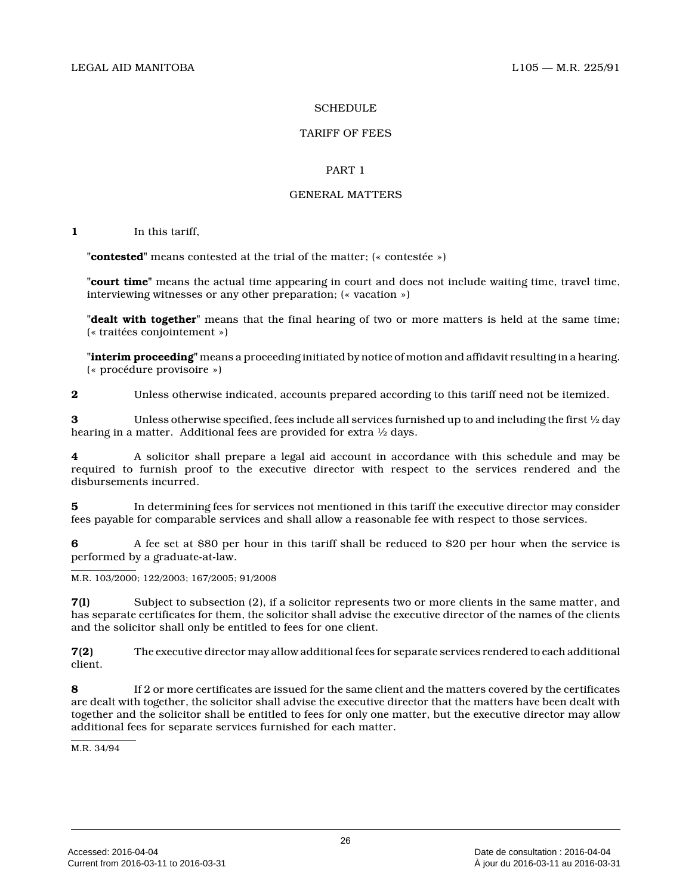### **SCHEDULE**

### TARIFF OF FEES

### PART 1

### GENERAL MATTERS

**1** In this tariff,

**"contested"** means contested at the trial of the matter; (« contestée »)

**"court time"** means the actual time appearing in court and does not include waiting time, travel time, interviewing witnesses or any other preparation; (« vacation »)

**"dealt with together"** means that the final hearing of two or more matters is held at the same time; (« traitées conjointement »)

**"interim proceeding"** means a proceeding initiated by notice of motion and affidavit resulting in a hearing. (« procédure provisoire »)

**2** Unless otherwise indicated, accounts prepared according to this tariff need not be itemized.

**3** Unless otherwise specified, fees include all services furnished up to and including the first ½ day hearing in a matter. Additional fees are provided for extra ½ days.

**4** A solicitor shall prepare a legal aid account in accordance with this schedule and may be required to furnish proof to the executive director with respect to the services rendered and the disbursements incurred.

**5** In determining fees for services not mentioned in this tariff the executive director may consider fees payable for comparable services and shall allow a reasonable fee with respect to those services.

**6** A fee set at \$80 per hour in this tariff shall be reduced to \$20 per hour when the service is performed by a graduate-at-law.

M.R. 103/2000; 122/2003; 167/2005; 91/2008

**7(l)** Subject to subsection (2), if a solicitor represents two or more clients in the same matter, and has separate certificates for them, the solicitor shall advise the executive director of the names of the clients and the solicitor shall only be entitled to fees for one client.

**7(2)** The executive director may allow additional fees for separate services rendered to each additional client.

**8** If 2 or more certificates are issued for the same client and the matters covered by the certificates are dealt with together, the solicitor shall advise the executive director that the matters have been dealt with together and the solicitor shall be entitled to fees for only one matter, but the executive director may allow additional fees for separate services furnished for each matter.

M.R. 34/94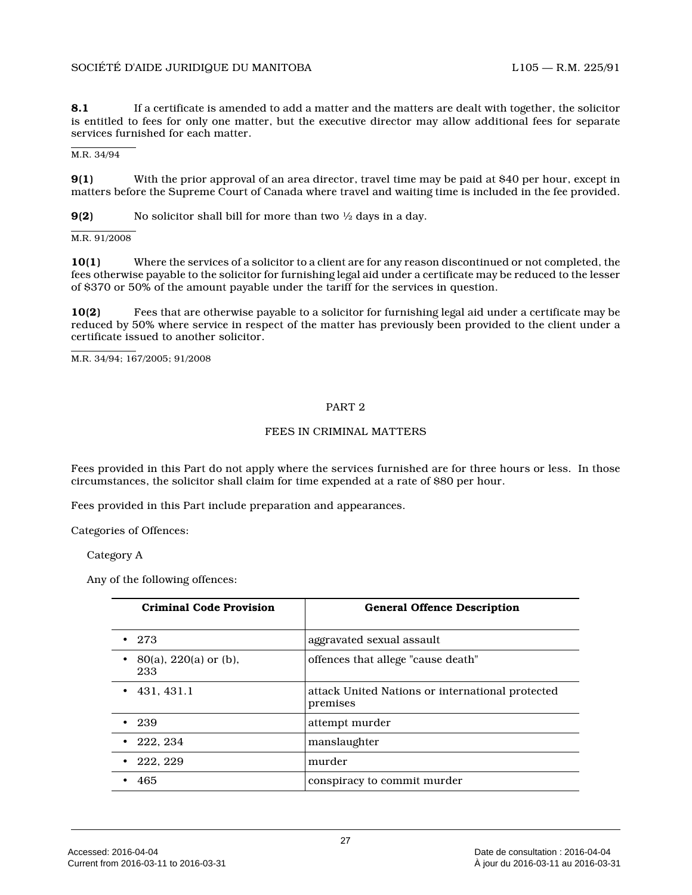**8.1** If a certificate is amended to add a matter and the matters are dealt with together, the solicitor is entitled to fees for only one matter, but the executive director may allow additional fees for separate services furnished for each matter.

M.R. 34/94

**9(1)** With the prior approval of an area director, travel time may be paid at \$40 per hour, except in matters before the Supreme Court of Canada where travel and waiting time is included in the fee provided.

**9(2)** No solicitor shall bill for more than two ½ days in a day.

M.R. 91/2008

**10(1)** Where the services of a solicitor to a client are for any reason discontinued or not completed, the fees otherwise payable to the solicitor for furnishing legal aid under a certificate may be reduced to the lesser of \$370 or 50% of the amount payable under the tariff for the services in question.

**10(2)** Fees that are otherwise payable to a solicitor for furnishing legal aid under a certificate may be reduced by 50% where service in respect of the matter has previously been provided to the client under a certificate issued to another solicitor.

M.R. 34/94; 167/2005; 91/2008

#### PART 2

### FEES IN CRIMINAL MATTERS

Fees provided in this Part do not apply where the services furnished are for three hours or less. In those circumstances, the solicitor shall claim for time expended at a rate of \$80 per hour.

Fees provided in this Part include preparation and appearances.

Categories of Offences:

Category A

Any of the following offences:

| <b>Criminal Code Provision</b>  | <b>General Offence Description</b>                           |
|---------------------------------|--------------------------------------------------------------|
| 273                             | aggravated sexual assault                                    |
| $80(a)$ , 220(a) or (b),<br>233 | offences that allege "cause death"                           |
| 431.431.1                       | attack United Nations or international protected<br>premises |
| - 239                           | attempt murder                                               |
| 222, 234                        | manslaughter                                                 |
| 222, 229                        | murder                                                       |
| 465                             | conspiracy to commit murder                                  |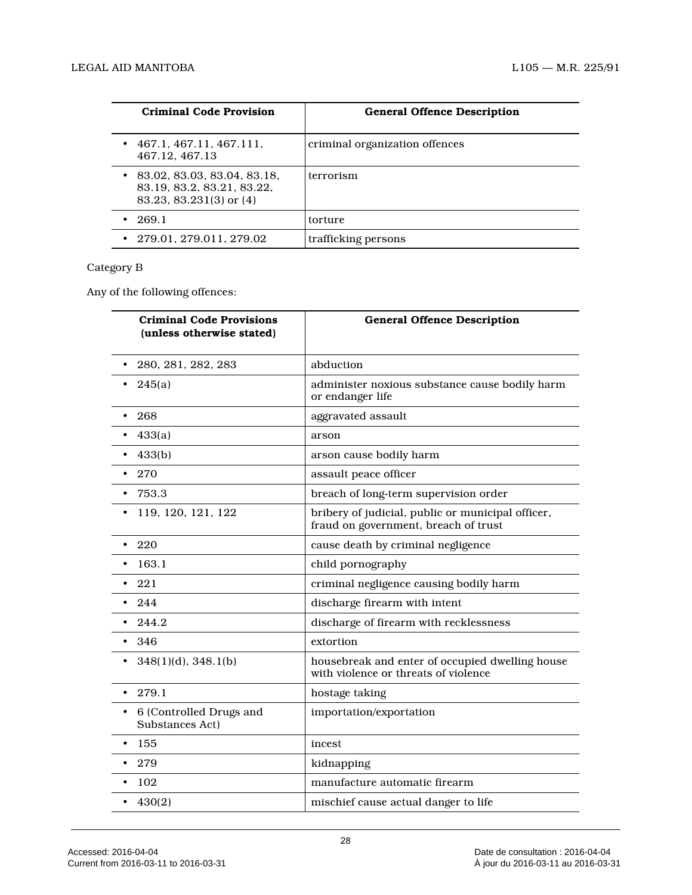| <b>Criminal Code Provision</b>                                                       | <b>General Offence Description</b> |
|--------------------------------------------------------------------------------------|------------------------------------|
| 467.1.467.11.467.111.<br>467.12.467.13                                               | criminal organization offences     |
| 83.02, 83.03, 83.04, 83.18,<br>83.19, 83.2, 83.21, 83.22,<br>83.23, 83.231(3) or (4) | terrorism                          |
| 269.1                                                                                | torture                            |
| 279.01.279.011.279.02                                                                | trafficking persons                |

# Category B

Any of the following offences:

| <b>Criminal Code Provisions</b><br>(unless otherwise stated) | <b>General Offence Description</b>                                                        |
|--------------------------------------------------------------|-------------------------------------------------------------------------------------------|
| 280, 281, 282, 283<br>$\bullet$                              | abduction                                                                                 |
| 245(a)<br>٠                                                  | administer noxious substance cause bodily harm<br>or endanger life                        |
| 268                                                          | aggravated assault                                                                        |
| 433(a)                                                       | arson                                                                                     |
| 433(b)                                                       | arson cause bodily harm                                                                   |
| 270<br>٠                                                     | assault peace officer                                                                     |
| 753.3<br>$\bullet$                                           | breach of long-term supervision order                                                     |
| 119, 120, 121, 122<br>٠                                      | bribery of judicial, public or municipal officer,<br>fraud on government, breach of trust |
| 220<br>$\bullet$                                             | cause death by criminal negligence                                                        |
| 163.1                                                        | child pornography                                                                         |
| 221                                                          | criminal negligence causing bodily harm                                                   |
| 244                                                          | discharge firearm with intent                                                             |
| 244.2                                                        | discharge of firearm with recklessness                                                    |
| 346<br>٠                                                     | extortion                                                                                 |
| $348(1)(d)$ , $348.1(b)$<br>$\bullet$                        | housebreak and enter of occupied dwelling house<br>with violence or threats of violence   |
| 279.1<br>$\bullet$                                           | hostage taking                                                                            |
| 6 (Controlled Drugs and<br>$\bullet$<br>Substances Act)      | importation/exportation                                                                   |
| 155<br>$\bullet$                                             | incest                                                                                    |
| 279                                                          | kidnapping                                                                                |
| 102<br>$\bullet$                                             | manufacture automatic firearm                                                             |
| 430(2)                                                       | mischief cause actual danger to life                                                      |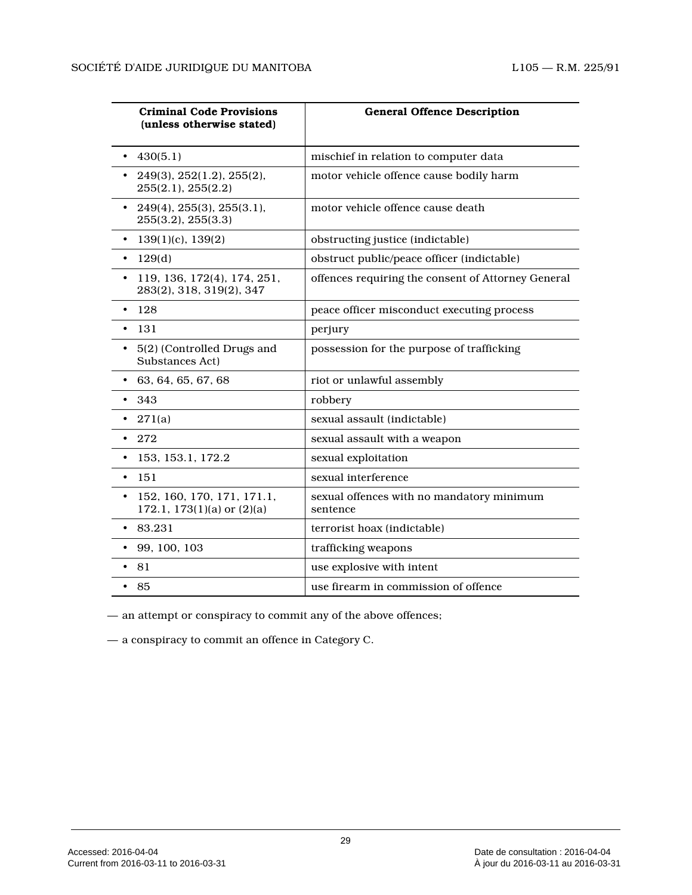| <b>Criminal Code Provisions</b><br>(unless otherwise stated)            | <b>General Offence Description</b>                    |
|-------------------------------------------------------------------------|-------------------------------------------------------|
| 430(5.1)                                                                | mischief in relation to computer data                 |
| 249(3), 252(1.2), 255(2),<br>255(2.1), 255(2.2)                         | motor vehicle offence cause bodily harm               |
| • $249(4)$ , $255(3)$ , $255(3.1)$ ,<br>255(3.2), 255(3.3)              | motor vehicle offence cause death                     |
| $139(1)(c)$ , $139(2)$<br>$\bullet$                                     | obstructing justice (indictable)                      |
| 129(d)<br>$\bullet$                                                     | obstruct public/peace officer (indictable)            |
| 119, 136, 172(4), 174, 251,<br>$\bullet$<br>283(2), 318, 319(2), 347    | offences requiring the consent of Attorney General    |
| 128<br>$\bullet$                                                        | peace officer misconduct executing process            |
| 131<br>$\bullet$                                                        | perjury                                               |
| 5(2) (Controlled Drugs and<br>$\bullet$<br>Substances Act)              | possession for the purpose of trafficking             |
| 63, 64, 65, 67, 68<br>$\bullet$                                         | riot or unlawful assembly                             |
| 343                                                                     | robbery                                               |
| 271(a)                                                                  | sexual assault (indictable)                           |
| 272                                                                     | sexual assault with a weapon                          |
| 153, 153.1, 172.2                                                       | sexual exploitation                                   |
| -151<br>$\bullet$                                                       | sexual interference                                   |
| 152, 160, 170, 171, 171.1,<br>$\bullet$<br>172.1, 173(1)(a) or $(2)(a)$ | sexual offences with no mandatory minimum<br>sentence |
| 83.231                                                                  | terrorist hoax (indictable)                           |
| 99, 100, 103<br>٠                                                       | trafficking weapons                                   |
| 81<br>$\bullet$                                                         | use explosive with intent                             |
| - 85<br>$\bullet$                                                       | use firearm in commission of offence                  |

— an attempt or conspiracy to commit any of the above offences;

— a conspiracy to commit an offence in Category C.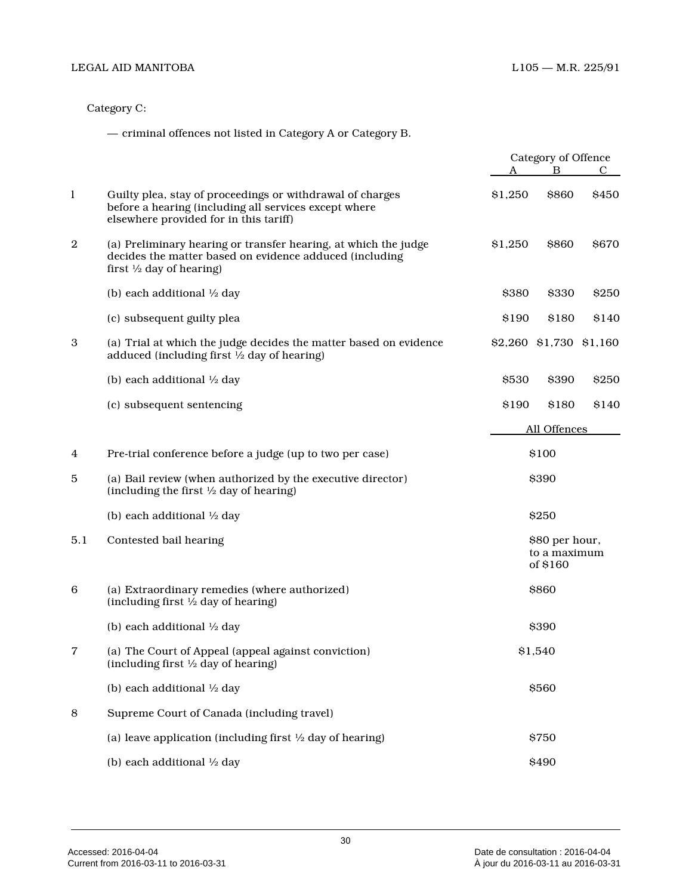Category C:

— criminal offences not listed in Category A or Category B.

|                  |                                                                                                                                                                   | Category of Offence |                                            |       |
|------------------|-------------------------------------------------------------------------------------------------------------------------------------------------------------------|---------------------|--------------------------------------------|-------|
|                  |                                                                                                                                                                   | A                   | B                                          | С     |
| $\mathbf{l}$     | Guilty plea, stay of proceedings or withdrawal of charges<br>before a hearing (including all services except where<br>elsewhere provided for in this tariff)      | \$1,250             | \$860                                      | \$450 |
| $\boldsymbol{2}$ | (a) Preliminary hearing or transfer hearing, at which the judge<br>decides the matter based on evidence adduced (including<br>first $\frac{1}{2}$ day of hearing) | \$1,250             | \$860                                      | \$670 |
|                  | (b) each additional 1/2 day                                                                                                                                       | \$380               | \$330                                      | \$250 |
|                  | (c) subsequent guilty plea                                                                                                                                        | \$190               | \$180                                      | \$140 |
| 3                | (a) Trial at which the judge decides the matter based on evidence<br>adduced (including first 1/2 day of hearing)                                                 |                     | \$2,260 \$1,730 \$1,160                    |       |
|                  | (b) each additional 1/2 day                                                                                                                                       | \$530               | \$390                                      | \$250 |
|                  | (c) subsequent sentencing                                                                                                                                         | \$190               | \$180                                      | \$140 |
|                  |                                                                                                                                                                   |                     | All Offences                               |       |
| 4                | Pre-trial conference before a judge (up to two per case)                                                                                                          |                     | \$100                                      |       |
| 5                | (a) Bail review (when authorized by the executive director)<br>(including the first $\frac{1}{2}$ day of hearing)                                                 |                     | \$390                                      |       |
|                  | (b) each additional 1/2 day                                                                                                                                       |                     | \$250                                      |       |
| 5.1              | Contested bail hearing                                                                                                                                            |                     | \$80 per hour,<br>to a maximum<br>of \$160 |       |
| 6                | (a) Extraordinary remedies (where authorized)<br>(including first $\frac{1}{2}$ day of hearing)                                                                   |                     | \$860                                      |       |
|                  | (b) each additional $\frac{1}{2}$ day                                                                                                                             |                     | \$390                                      |       |
| 7                | (a) The Court of Appeal (appeal against conviction)<br>(including first $\frac{1}{2}$ day of hearing)                                                             |                     | \$1,540                                    |       |
|                  | (b) each additional 1/2 day                                                                                                                                       |                     | <b>\$560</b>                               |       |
| 8                | Supreme Court of Canada (including travel)                                                                                                                        |                     |                                            |       |
|                  | (a) leave application (including first $\frac{1}{2}$ day of hearing)                                                                                              |                     | \$750                                      |       |
|                  | (b) each additional 1/2 day                                                                                                                                       |                     | \$490                                      |       |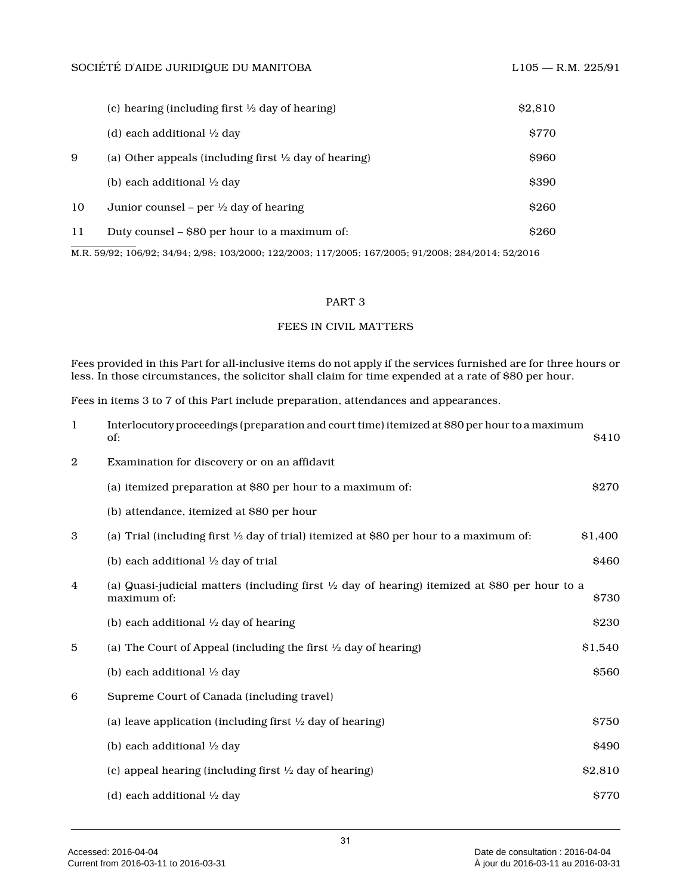|    | (c) hearing (including first $\frac{1}{2}$ day of hearing)       | \$2,810      |
|----|------------------------------------------------------------------|--------------|
|    | (d) each additional $\frac{1}{2}$ day                            | <b>S770</b>  |
| 9  | (a) Other appeals (including first $\frac{1}{2}$ day of hearing) | <b>S960</b>  |
|    | (b) each additional $\frac{1}{2}$ day                            | <b>\$390</b> |
| 10 | Junior counsel – per $\frac{1}{2}$ day of hearing                | \$260        |
| 11 | Duty counsel – \$80 per hour to a maximum of:                    | <b>S260</b>  |

M.R. 59/92; 106/92; 34/94; 2/98; 103/2000; 122/2003; 117/2005; 167/2005; 91/2008; 284/2014; 52/2016

### PART 3

### FEES IN CIVIL MATTERS

Fees provided in this Part for all-inclusive items do not apply if the services furnished are for three hours or less. In those circumstances, the solicitor shall claim for time expended at a rate of \$80 per hour.

Fees in items 3 to 7 of this Part include preparation, attendances and appearances.

| -1             | Interlocutory proceedings (preparation and court time) itemized at \$80 per hour to a maximum<br>of:                    | \$410   |
|----------------|-------------------------------------------------------------------------------------------------------------------------|---------|
| $\overline{2}$ | Examination for discovery or on an affidavit                                                                            |         |
|                | (a) itemized preparation at \$80 per hour to a maximum of:                                                              | \$270   |
|                | (b) attendance, itemized at \$80 per hour                                                                               |         |
| 3              | (a) Trial (including first $\frac{1}{2}$ day of trial) itemized at \$80 per hour to a maximum of:                       | \$1,400 |
|                | (b) each additional $\frac{1}{2}$ day of trial                                                                          | \$460   |
| 4              | (a) Quasi-judicial matters (including first $\frac{1}{2}$ day of hearing) itemized at \$80 per hour to a<br>maximum of: | \$730   |
|                | (b) each additional $\frac{1}{2}$ day of hearing                                                                        | \$230   |
| 5              | (a) The Court of Appeal (including the first $\frac{1}{2}$ day of hearing)                                              | \$1,540 |
|                | (b) each additional 1/2 day                                                                                             | \$560   |
| 6              | Supreme Court of Canada (including travel)                                                                              |         |
|                | (a) leave application (including first $\frac{1}{2}$ day of hearing)                                                    | \$750   |
|                | (b) each additional 1/2 day                                                                                             | \$490   |
|                | (c) appeal hearing (including first $\frac{1}{2}$ day of hearing)                                                       | \$2,810 |
|                | (d) each additional 1/2 day                                                                                             | \$770   |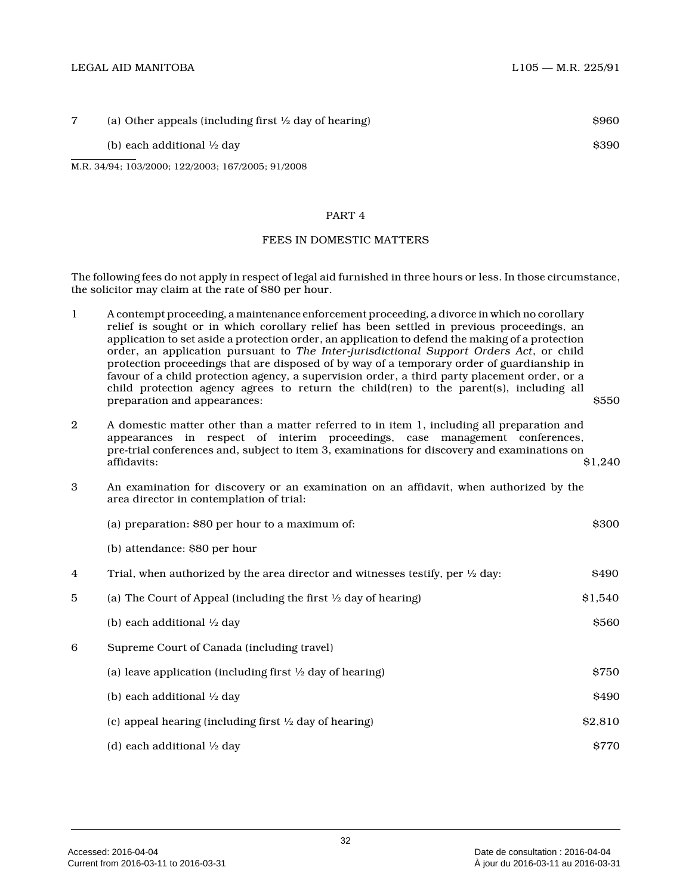| (a) Other appeals (including first $\frac{1}{2}$ day of hearing) | <b>S960</b> |
|------------------------------------------------------------------|-------------|
| (b) each additional $\frac{1}{2}$ day                            | <b>S390</b> |
| M.R. 34/94; 103/2000; 122/2003; 167/2005; 91/2008                |             |

#### PART 4

#### FEES IN DOMESTIC MATTERS

The following fees do not apply in respect of legal aid furnished in three hours or less. In those circumstance, the solicitor may claim at the rate of \$80 per hour .

- 1 A contempt proceeding, a maintenance enforcement proceeding, a divorce in which no corollary relief is sought or in which corollary relief has been settled in previous proceedings, an application to set aside a protection order, an application to defend the making of a protection order, an application pursuant to *The Inter-jurisdictional Support Orders Act*, or child protection proceedings that are disposed of by way of a temporary order of guardianship in favour of a child protection agency, a supervision order, a third party placement order, or a child protection agency agrees to return the child(ren) to the parent(s), including all preparation and appearances:  $\frac{1}{550}$
- 2 A domestic matter other than a matter referred to in item 1, including all preparation and appearances in respect of interim proceedings, case management conferences, pre-trial conferences and, subject to item 3, examinations for discovery and examinations on affidavits: \$1,240
- 3 An examination for discovery or an examination on an affidavit, when authorized by the area director in contemplation of trial:

|   | (a) preparation: \$80 per hour to a maximum of:                                           | \$300   |
|---|-------------------------------------------------------------------------------------------|---------|
|   | (b) attendance: \$80 per hour                                                             |         |
| 4 | Trial, when authorized by the area director and witnesses testify, per $\frac{1}{2}$ day: | \$490   |
| 5 | (a) The Court of Appeal (including the first $\frac{1}{2}$ day of hearing)                | \$1,540 |
|   | (b) each additional $\frac{1}{2}$ day                                                     | \$560   |
| 6 | Supreme Court of Canada (including travel)                                                |         |
|   | (a) leave application (including first $\frac{1}{2}$ day of hearing)                      | \$750   |
|   | (b) each additional $\frac{1}{2}$ day                                                     | \$490   |
|   | (c) appeal hearing (including first $\frac{1}{2}$ day of hearing)                         | \$2,810 |
|   | (d) each additional $\frac{1}{2}$ day                                                     | \$770   |
|   |                                                                                           |         |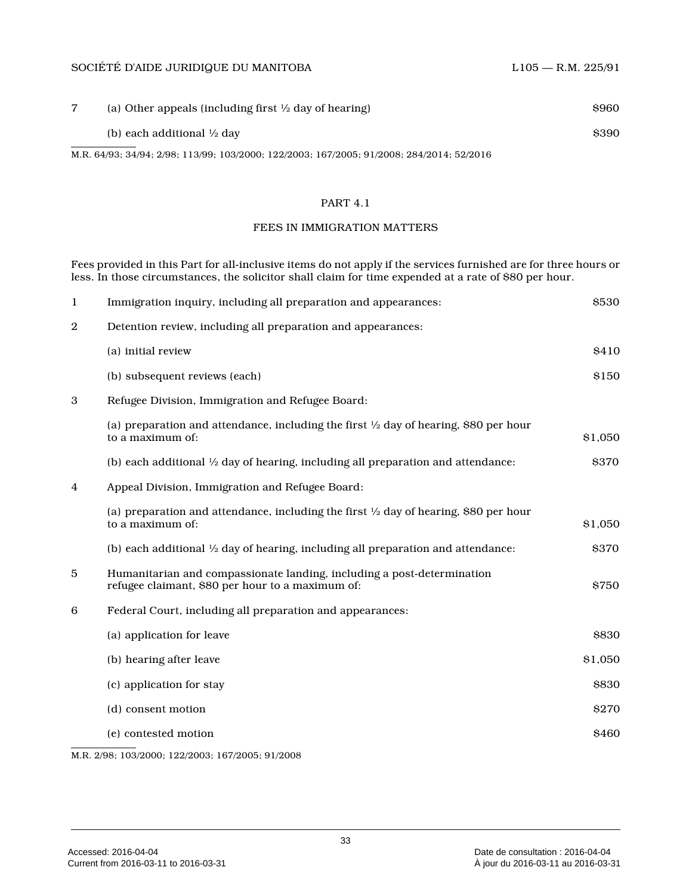### SOCIÉTÉ D'AIDE JURIDIQUE DU MANITOBA L105 — R.M. 225/91

| (a) Other appeals (including first $\frac{1}{2}$ day of hearing)                          | <b>S960</b> |
|-------------------------------------------------------------------------------------------|-------------|
| (b) each additional $\frac{1}{2}$ day                                                     | <b>S390</b> |
| M.R. 64/93; 34/94; 2/98; 113/99; 103/2000; 122/2003; 167/2005; 91/2008; 284/2014; 52/2016 |             |

### PART 4.1

### FEES IN IMMIGRATION MATTERS

Fees provided in this Part for all-inclusive items do not apply if the services furnished are for three hours or less. In those circumstances, the solicitor shall claim for time expended at a rate of \$80 per hour.

| $\mathbf{1}$   | Immigration inquiry, including all preparation and appearances:                                                            | \$530   |
|----------------|----------------------------------------------------------------------------------------------------------------------------|---------|
| $\overline{2}$ | Detention review, including all preparation and appearances:                                                               |         |
|                | (a) initial review                                                                                                         | \$410   |
|                | (b) subsequent reviews (each)                                                                                              | \$150   |
| 3              | Refugee Division, Immigration and Refugee Board:                                                                           |         |
|                | (a) preparation and attendance, including the first $\frac{1}{2}$ day of hearing, \$80 per hour<br>to a maximum of:        | \$1,050 |
|                | (b) each additional $\frac{1}{2}$ day of hearing, including all preparation and attendance:                                | \$370   |
| 4              | Appeal Division, Immigration and Refugee Board:                                                                            |         |
|                | (a) preparation and attendance, including the first $\frac{1}{2}$ day of hearing, \$80 per hour<br>to a maximum of:        | \$1,050 |
|                | (b) each additional $\frac{1}{2}$ day of hearing, including all preparation and attendance:                                | \$370   |
| 5              | Humanitarian and compassionate landing, including a post-determination<br>refugee claimant, \$80 per hour to a maximum of: | \$750   |
| 6              | Federal Court, including all preparation and appearances:                                                                  |         |
|                | (a) application for leave                                                                                                  | \$830   |
|                | (b) hearing after leave                                                                                                    | \$1,050 |
|                | (c) application for stay                                                                                                   | \$830   |
|                | (d) consent motion                                                                                                         | \$270   |
|                | (e) contested motion                                                                                                       | \$460   |
|                | M.R. 2/98; 103/2000; 122/2003; 167/2005; 91/2008                                                                           |         |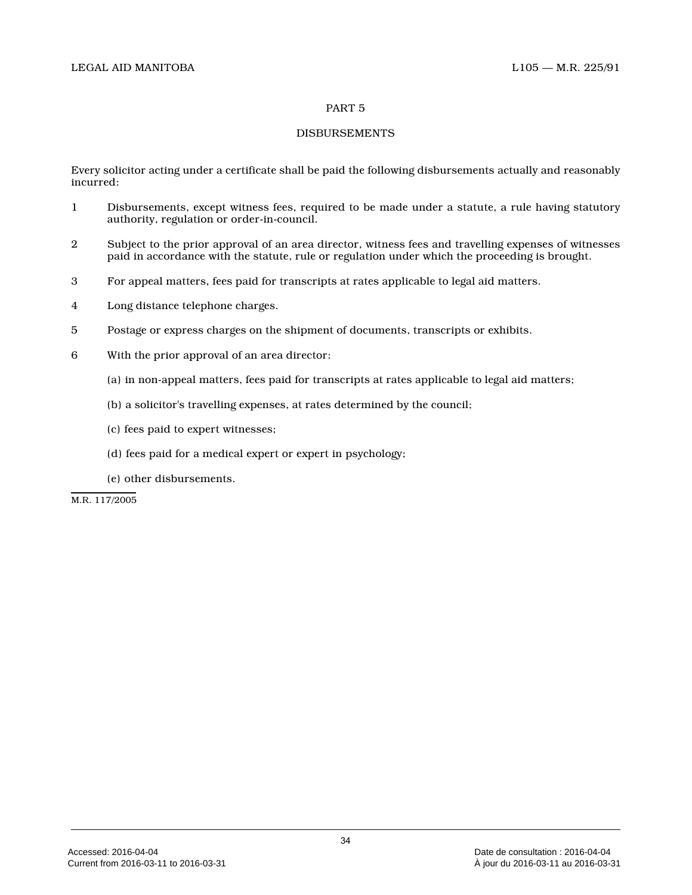### PART 5

### DISBURSEMENTS

Every solicitor acting under a certificate shall be paid the following disbursements actually and reasonably incurred:

- 1 Disbursements, except witness fees, required to be made under a statute, a rule having statutory authority, regulation or order-in-council.
- 2 Subject to the prior approval of an area director, witness fees and travelling expenses of witnesses paid in accordance with the statute, rule or regulation under which the proceeding is brought.
- 3 For appeal matters, fees paid for transcripts at rates applicable to legal aid matters.
- 4 Long distance telephone charges.
- 5 Postage or express charges on the shipment of documents, transcripts or exhibits.
- 6 With the prior approval of an area director:
	- (a) in non-appeal matters, fees paid for transcripts at rates applicable to legal aid matters;
	- (b) a solicitor's travelling expenses, at rates determined by the council;
	- (c) fees paid to expert witnesses;
	- (d) fees paid for a medical expert or expert in psychology;
	- (e) other disbursements.

M.R. 117/2005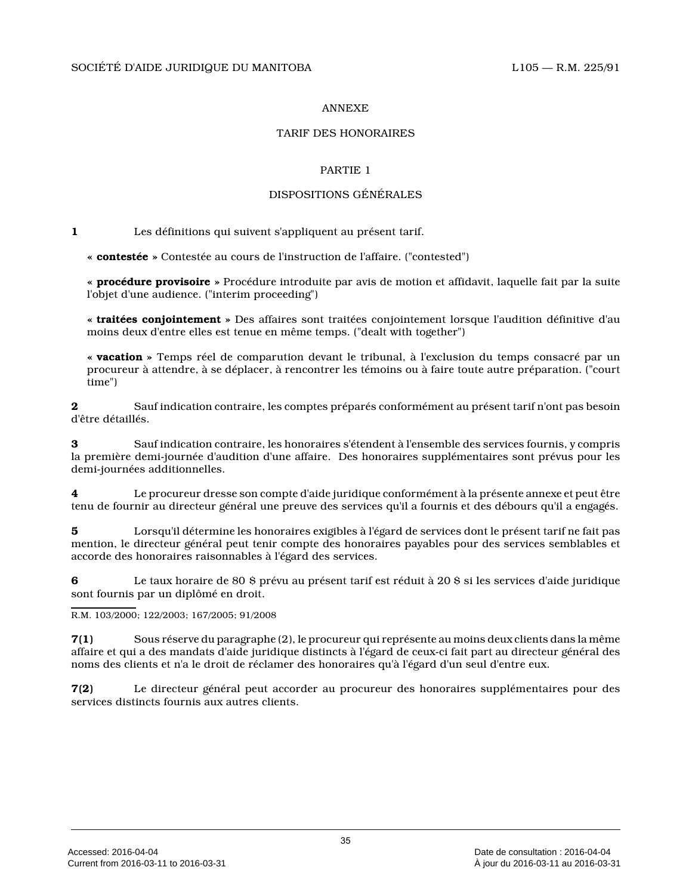### ANNEXE

### TARIF DES HONORAIRES

### PARTIE 1

### DISPOSITIONS GÉNÉRALES

**1** Les définitions qui suivent s'appliquent au présent tarif.

**« contestée »** Contestée au cours de l'instruction de l'affaire. ("contested")

**« procédure provisoire »** Procédure introduite par avis de motion et affidavit, laquelle fait par la suite l'objet d'une audience. ("interim proceeding")

**« traitées conjointement »** Des affaires sont traitées conjointement lorsque l'audition définitive d'au moins deux d'entre elles est tenue en même temps. ("dealt with together")

**« vacation »** Temps réel de comparution devant le tribunal, à l'exclusion du temps consacré par un procureur à attendre, à se déplacer, à rencontrer les témoins ou à faire toute autre préparation. ("court time")

**2** Sauf indication contraire, les comptes préparés conformément au présent tarif n'ont pas besoin d'être détaillés.

**3** Sauf indication contraire, les honoraires s'étendent à l'ensemble des services fournis, y compris la première demi-journée d'audition d'une affaire. Des honoraires supplémentaires sont prévus pour le s demi-journées additionnelles.

**4** Le procureur dresse son compte d'aide juridique conformément à la présente annexe et peut être tenu de fournir au directeur général une preuve des services qu'il a fournis et des débours qu'il a engagés.

**5** Lorsqu'il détermine les honoraires exigibles à l'égard de services dont le présent tarif ne fait pas mention, le directeur général peut tenir compte des honoraires payables pour des services semblables e t accorde des honoraires raisonnables à l'égard des services.

**6** Le taux horaire de 80 \$ prévu au présent tarif est réduit à 20 \$ si les services d'aide juridique sont fournis par un diplômé en droit.

R.M. 103/2000; 122/2003; 167/2005; 91/2008

**7(1)** Sous réserve du paragraphe (2), le procureur qui représente au moins deux clients dans la même affaire et qui a des mandats d'aide juridique distincts à l'égard de ceux-ci fait part au directeur général des noms des clients et n'a le droit de réclamer des honoraires qu'à l'égard d'un seul d'entre eux.

**7(2)** Le directeur général peut accorder au procureur des honoraires supplémentaires pour des services distincts fournis aux autres clients.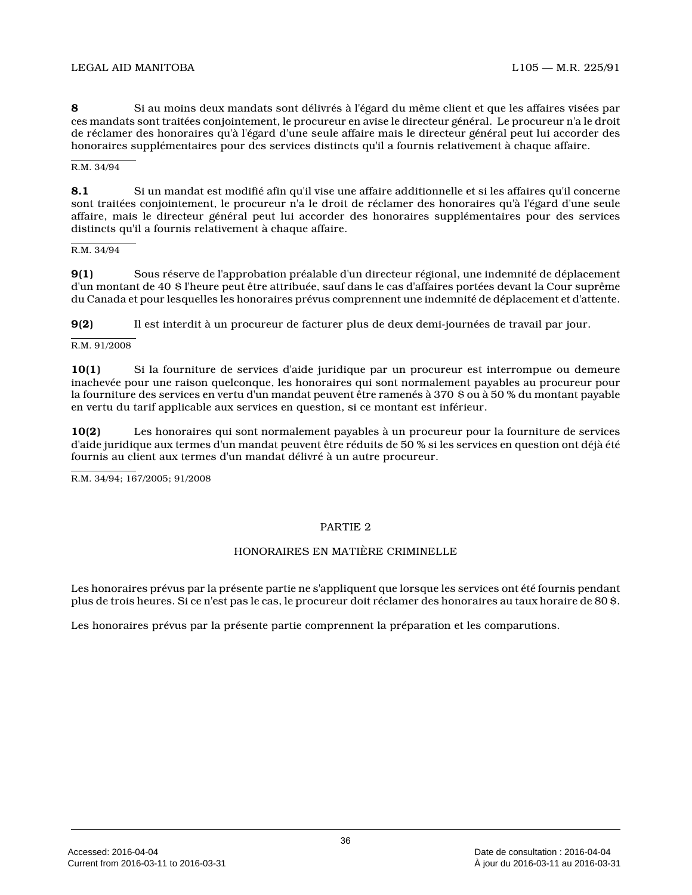**8** Si au moins deux mandats sont délivrés à l'égard du même client et que les affaires visées par ces mandats sont traitées conjointement, le procureur en avise le directeur général. Le procureur n'a le droit de réclamer des honoraires qu'à l'égard d'une seule affaire mais le directeur général peut lui accorder des honoraires supplémentaires pour des services distincts qu'il a fournis relativement à chaque affaire.

R.M. 34/94

**8.1** Si un mandat est modifié afin qu'il vise une affaire additionnelle et si les affaires qu'il concerne sont traitées conjointement, le procureur n'a le droit de réclamer des honoraires qu'à l'égard d'une seule affaire, mais le directeur général peut lui accorder des honoraires supplémentaires pour des services distincts qu'il a fournis relativement à chaque affaire.

R.M. 34/94

**9(1)** Sous réserve de l'approbation préalable d'un directeur régional, une indemnité de déplacement d'un montant de 40 \$ l'heure peut être attribuée, sauf dans le cas d'affaires portées devant la Cour suprême du Canada et pour lesquelles les honoraires prévus comprennent une indemnité de déplacement et d'attente.

**9(2)** Il est interdit à un procureur de facturer plus de deux demi-journées de travail par jour.

#### R.M. 91/2008

**10(1)** Si la fourniture de services d'aide juridique par un procureur est interrompue ou demeure inachevée pour une raison quelconque, les honoraires qui sont normalement payables au procureur pour la fourniture des services en vertu d'un mandat peuvent être ramenés à 370 \$ ou à 50 % du montant payable en vertu du tarif applicable aux services en question, si ce montant est inférieur.

**10(2)** Les honoraires qui sont normalement payables à un procureur pour la fourniture de services d'aide juridique aux termes d'un mandat peuvent être réduits de 50 % si les services en question ont déjà été fournis au client aux termes d'un mandat délivré à un autre procureur.

R.M. 34/94; 167/2005; 91/2008

### PARTIE 2

### HONORAIRES EN MATIÈRE CRIMINELLE

Les honoraires prévus par la présente partie ne s'appliquent que lorsque les services ont été fournis pendant plus de trois heures. Si ce n'est pas le cas, le procureur doit réclamer des honoraires au taux horaire de 80 \$.

Les honoraires prévus par la présente partie comprennent la préparation et les comparutions.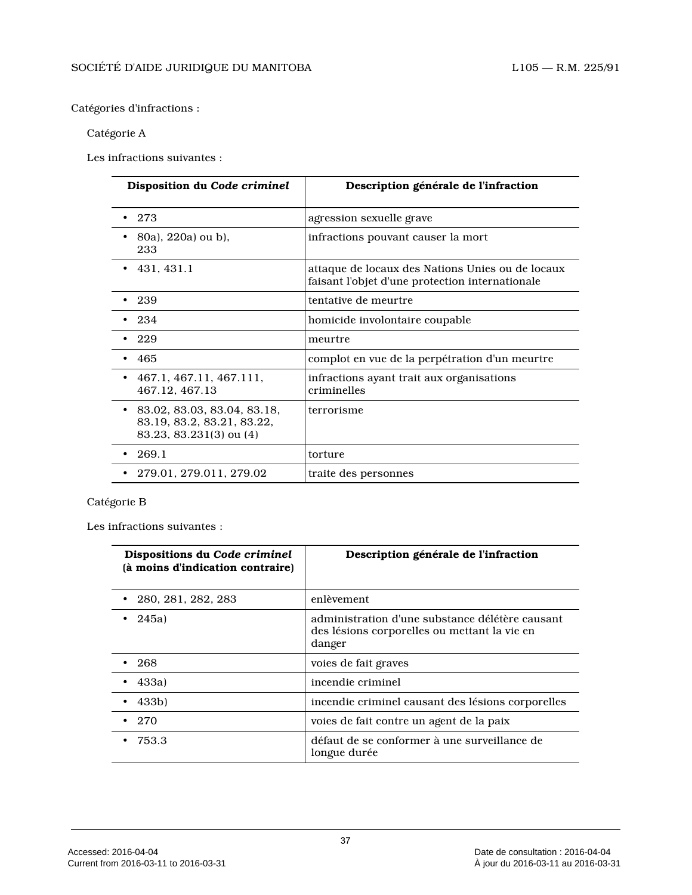### Catégories d'infractions :

### Catégorie A

Les infractions suivantes :

| Disposition du Code criminel                                                                          | Description générale de l'infraction                                                                |
|-------------------------------------------------------------------------------------------------------|-----------------------------------------------------------------------------------------------------|
| -273                                                                                                  | agression sexuelle grave                                                                            |
| 80a), 220a) ou b),<br>233                                                                             | infractions pouvant causer la mort                                                                  |
| $\cdot$ 431.431.1                                                                                     | attaque de locaux des Nations Unies ou de locaux<br>faisant l'objet d'une protection internationale |
| -239                                                                                                  | tentative de meurtre                                                                                |
| -234                                                                                                  | homicide involontaire coupable                                                                      |
| - 229                                                                                                 | meurtre                                                                                             |
| - 465                                                                                                 | complot en vue de la perpétration d'un meurtre                                                      |
| 467.1, 467.11, 467.111,<br>٠<br>467.12.467.13                                                         | infractions ayant trait aux organisations<br>criminelles                                            |
| 83.02, 83.03, 83.04, 83.18,<br>$\bullet$<br>83.19, 83.2, 83.21, 83.22,<br>$83.23, 83.231(3)$ ou $(4)$ | terrorisme                                                                                          |
| 269.1                                                                                                 | torture                                                                                             |
| 279.01, 279.011, 279.02                                                                               | traite des personnes                                                                                |

# Catégorie B

Les infractions suivantes :

| Dispositions du Code criminel<br>(à moins d'indication contraire) | Description générale de l'infraction                                                                      |
|-------------------------------------------------------------------|-----------------------------------------------------------------------------------------------------------|
| 280, 281, 282, 283                                                | enlèvement                                                                                                |
| 245a                                                              | administration d'une substance délétère causant<br>des lésions corporelles ou mettant la vie en<br>danger |
| -268                                                              | voies de fait graves                                                                                      |
| 433a)                                                             | incendie criminel                                                                                         |
| 433b)                                                             | incendie criminel causant des lésions corporelles                                                         |
| 270                                                               | voies de fait contre un agent de la paix                                                                  |
| 753.3                                                             | défaut de se conformer à une surveillance de<br>longue durée                                              |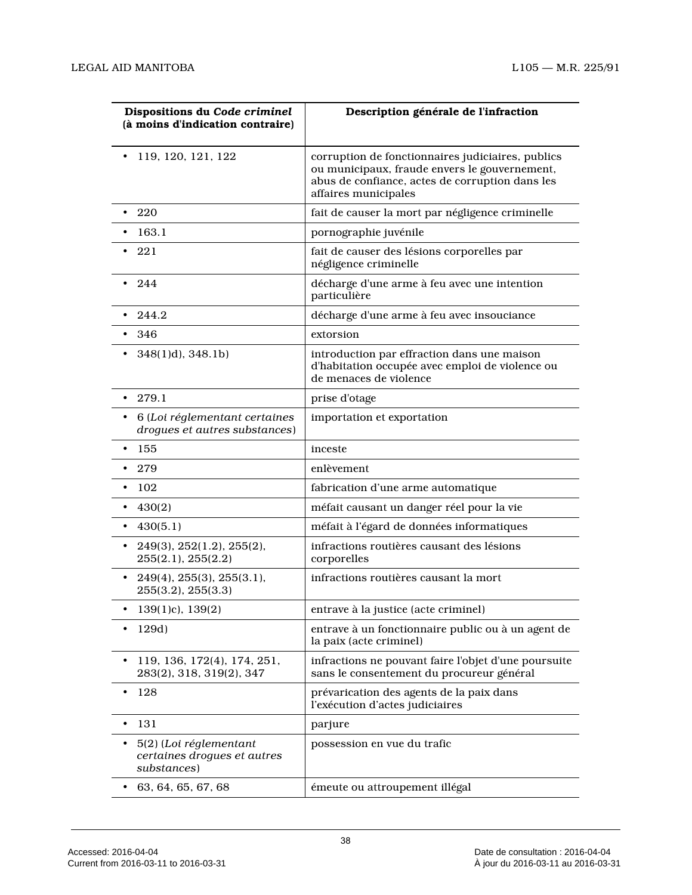| Dispositions du Code criminel<br>(à moins d'indication contraire)    | Description générale de l'infraction                                                                                                                                          |  |
|----------------------------------------------------------------------|-------------------------------------------------------------------------------------------------------------------------------------------------------------------------------|--|
| 119, 120, 121, 122<br>٠                                              | corruption de fonctionnaires judiciaires, publics<br>ou municipaux, fraude envers le gouvernement,<br>abus de confiance, actes de corruption dans les<br>affaires municipales |  |
| 220<br>$\bullet$                                                     | fait de causer la mort par négligence criminelle                                                                                                                              |  |
| 163.1                                                                | pornographie juvénile                                                                                                                                                         |  |
| 221                                                                  | fait de causer des lésions corporelles par<br>négligence criminelle                                                                                                           |  |
| 244<br>$\bullet$                                                     | décharge d'une arme à feu avec une intention<br>particulière                                                                                                                  |  |
| 244.2                                                                | décharge d'une arme à feu avec insouciance                                                                                                                                    |  |
| 346<br>$\bullet$                                                     | extorsion                                                                                                                                                                     |  |
| $348(1)d$ , $348.1b$ )                                               | introduction par effraction dans une maison<br>d'habitation occupée avec emploi de violence ou<br>de menaces de violence                                                      |  |
| $\cdot$ 279.1                                                        | prise d'otage                                                                                                                                                                 |  |
| 6 (Loi réglementant certaines<br>drogues et autres substances)       | importation et exportation                                                                                                                                                    |  |
| 155<br>٠                                                             | inceste                                                                                                                                                                       |  |
| 279                                                                  | enlèvement                                                                                                                                                                    |  |
| 102                                                                  | fabrication d'une arme automatique                                                                                                                                            |  |
| 430(2)                                                               | méfait causant un danger réel pour la vie                                                                                                                                     |  |
| 430(5.1)                                                             | méfait à l'égard de données informatiques                                                                                                                                     |  |
| 249(3), 252(1.2), 255(2),<br>٠<br>255(2.1), 255(2.2)                 | infractions routières causant des lésions<br>corporelles                                                                                                                      |  |
| $249(4)$ , $255(3)$ , $255(3.1)$ ,<br>٠<br>255(3.2), 255(3.3)        | infractions routières causant la mort                                                                                                                                         |  |
| 139(1)c), 139(2)                                                     | entrave à la justice (acte criminel)                                                                                                                                          |  |
| 129d)<br>٠                                                           | entrave à un fonctionnaire public ou à un agent de<br>la paix (acte criminel)                                                                                                 |  |
| 119, 136, 172(4), 174, 251,<br>$\bullet$<br>283(2), 318, 319(2), 347 | infractions ne pouvant faire l'objet d'une poursuite<br>sans le consentement du procureur général                                                                             |  |
| 128<br>٠                                                             | prévarication des agents de la paix dans<br>l'exécution d'actes judiciaires                                                                                                   |  |
| 131<br>$\bullet$                                                     | parjure                                                                                                                                                                       |  |
| 5(2) (Loi réglementant<br>certaines drogues et autres<br>substances) | possession en vue du trafic                                                                                                                                                   |  |
| 63, 64, 65, 67, 68<br>٠                                              | émeute ou attroupement illégal                                                                                                                                                |  |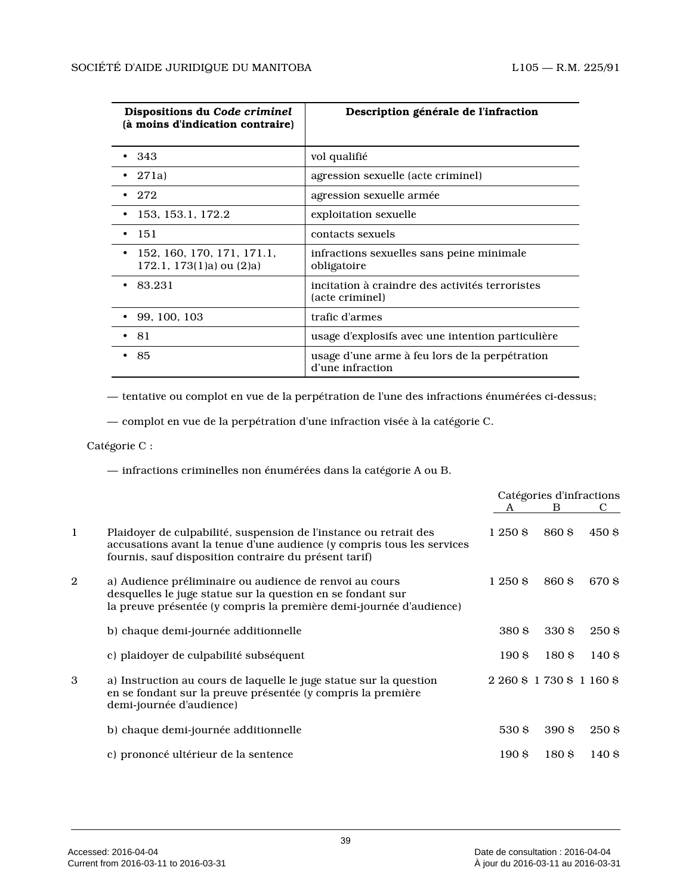| Dispositions du Code criminel<br>(à moins d'indication contraire) | Description générale de l'infraction                               |
|-------------------------------------------------------------------|--------------------------------------------------------------------|
| •343                                                              | vol qualifié                                                       |
| 271a                                                              | agression sexuelle (acte criminel)                                 |
| 272                                                               | agression sexuelle armée                                           |
| 153, 153.1, 172.2                                                 | exploitation sexuelle                                              |
| -151<br>٠                                                         | contacts sexuels                                                   |
| 152, 160, 170, 171, 171.1,<br>$172.1, 173(1)a)$ ou $(2)a)$        | infractions sexuelles sans peine minimale<br>obligatoire           |
| 83.231                                                            | incitation à craindre des activités terroristes<br>(acte criminel) |
| 99, 100, 103                                                      | trafic d'armes                                                     |
| • 81                                                              | usage d'explosifs avec une intention particulière                  |
| -85                                                               | usage d'une arme à feu lors de la perpétration<br>d'une infraction |

— tentative ou complot en vue de la perpétration de l'une des infractions énumérées ci-dessus;

— complot en vue de la perpétration d'une infraction visée à la catégorie C.

Catégorie C :

— infractions criminelles non énumérées dans la catégorie A ou B.

|              |                                                                                                                                                                                                      | Catégories d'infractions |                            |       |
|--------------|------------------------------------------------------------------------------------------------------------------------------------------------------------------------------------------------------|--------------------------|----------------------------|-------|
|              |                                                                                                                                                                                                      | A                        | B.                         | С     |
| $\mathbf{1}$ | Plaidoyer de culpabilité, suspension de l'instance ou retrait des<br>accusations avant la tenue d'une audience (y compris tous les services<br>fournis, sauf disposition contraire du présent tarif) | 1250S                    | 860 S                      | 450 S |
| 2            | a) Audience préliminaire ou audience de renvoi au cours<br>desquelles le juge statue sur la question en se fondant sur<br>la preuve présentée (y compris la première demi-journée d'audience)        | 1 250 \$                 | 860 S                      | 670 S |
|              | b) chaque demi-journée additionnelle                                                                                                                                                                 | 380 S                    | 330 S                      | 250S  |
|              | c) plaidover de culpabilité subséquent                                                                                                                                                               | 190S                     | 180S                       | 140S  |
| 3            | a) Instruction au cours de laquelle le juge statue sur la question<br>en se fondant sur la preuve présentée (y compris la première<br>demi-journée d'audience)                                       |                          | 2 260 \$ 1 730 \$ 1 160 \$ |       |
|              | b) chaque demi-journée additionnelle                                                                                                                                                                 | 530 S                    | 390 S                      | 250 S |
|              | c) prononcé ultérieur de la sentence                                                                                                                                                                 | 190S                     | 180 S                      | 140 S |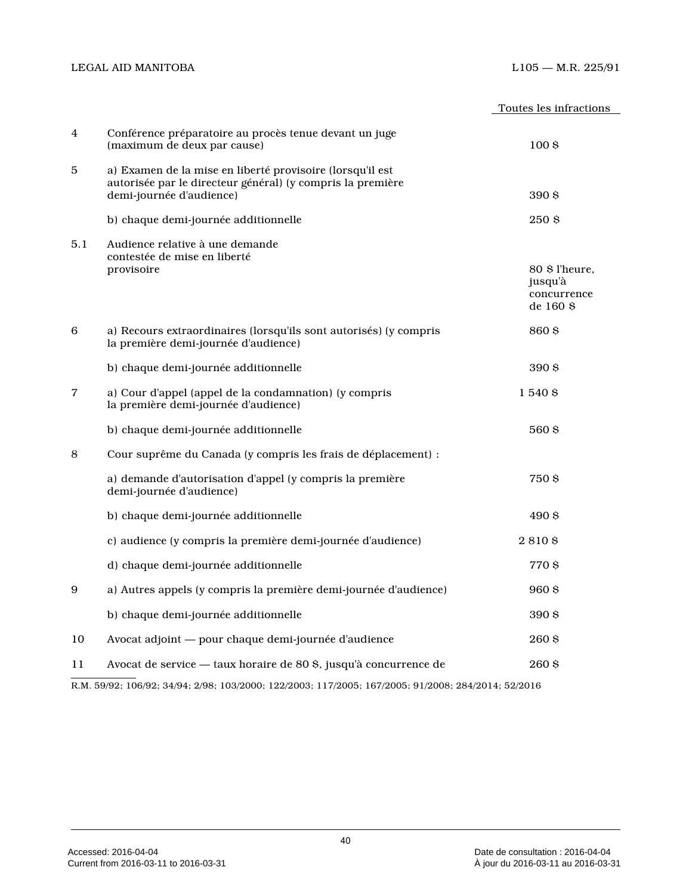### $LIO5- M.R.~225/91 \label{eq:105}$

|     |                                                                                                                                                     | Toutes les infractions                               |
|-----|-----------------------------------------------------------------------------------------------------------------------------------------------------|------------------------------------------------------|
| 4   | Conférence préparatoire au procès tenue devant un juge<br>(maximum de deux par cause)                                                               | 100 <sub>5</sub>                                     |
| 5   | a) Examen de la mise en liberté provisoire (lorsqu'il est<br>autorisée par le directeur général) (y compris la première<br>demi-journée d'audience) | 390S                                                 |
|     | b) chaque demi-journée additionnelle                                                                                                                | 250 \$                                               |
| 5.1 | Audience relative à une demande<br>contestée de mise en liberté<br>provisoire                                                                       | 80 \$ l'heure,<br>jusqu'à<br>concurrence<br>de 160 S |
| 6   | a) Recours extraordinaires (lorsqu'ils sont autorisés) (y compris<br>la première demi-journée d'audience)                                           | 860 \$                                               |
|     | b) chaque demi-journée additionnelle                                                                                                                | 390 \$                                               |
| 7   | a) Cour d'appel (appel de la condamnation) (y compris<br>la première demi-journée d'audience)                                                       | 1 540 \$                                             |
|     | b) chaque demi-journée additionnelle                                                                                                                | 560 S                                                |
| 8   | Cour suprême du Canada (y compris les frais de déplacement) :                                                                                       |                                                      |
|     | a) demande d'autorisation d'appel (y compris la première<br>demi-journée d'audience)                                                                | 750 S                                                |
|     | b) chaque demi-journée additionnelle                                                                                                                | 490\$                                                |
|     | c) audience (y compris la première demi-journée d'audience)                                                                                         | 2810\$                                               |
|     | d) chaque demi-journée additionnelle                                                                                                                | 770\$                                                |
| 9   | a) Autres appels (y compris la première demi-journée d'audience)                                                                                    | 960\$                                                |
|     | b) chaque demi-journée additionnelle                                                                                                                | 390\$                                                |
| 10  | Avocat adjoint - pour chaque demi-journée d'audience                                                                                                | 260\$                                                |
| 11  | Avocat de service — taux horaire de 80 \$, jusqu'à concurrence de                                                                                   | 260\$                                                |

R.M. 59/92; 106/92; 34/94; 2/98; 103/2000; 122/2003; 117/2005; 167/2005; 91/2008; 284/2014; 52/2016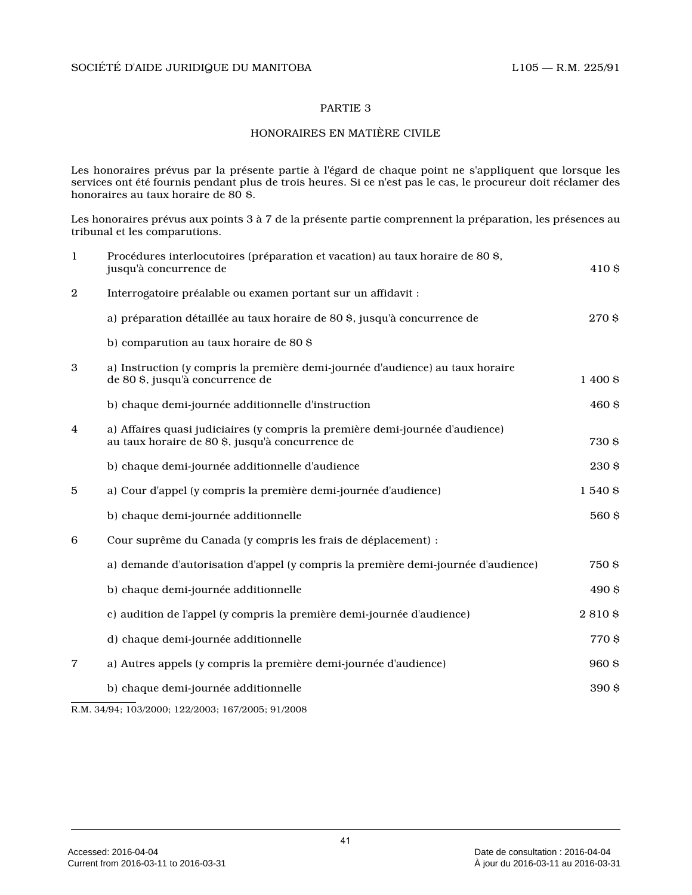#### PARTIE 3

## HONORAIRES EN MATIÈRE CIVILE

Les honoraires prévus par la présente partie à l'égard de chaque point ne s'appliquent que lorsque les services ont été fournis pendant plus de trois heures. Si ce n'est pas le cas, le procureur doit réclamer des honoraires au taux horaire de 80 \$.

Les honoraires prévus aux points 3 à 7 de la présente partie comprennent la préparation, les présences au tribunal et les comparutions.

| $\mathbf{1}$ | Procédures interlocutoires (préparation et vacation) au taux horaire de 80 \$,<br>jusqu'à concurrence de                          | 410\$    |
|--------------|-----------------------------------------------------------------------------------------------------------------------------------|----------|
| $\mathbf{2}$ | Interrogatoire préalable ou examen portant sur un affidavit :                                                                     |          |
|              | a) préparation détaillée au taux horaire de 80 \$, jusqu'à concurrence de                                                         | 270\$    |
|              | b) comparution au taux horaire de 80 \$                                                                                           |          |
| 3            | a) Instruction (y compris la première demi-journée d'audience) au taux horaire<br>de 80 \$, jusqu'à concurrence de                | 1 400 \$ |
|              | b) chaque demi-journée additionnelle d'instruction                                                                                | 460 \$   |
| 4            | a) Affaires quasi judiciaires (y compris la première demi-journée d'audience)<br>au taux horaire de 80 \$, jusqu'à concurrence de | 730\$    |
|              | b) chaque demi-journée additionnelle d'audience                                                                                   | 230 \$   |
| 5            | a) Cour d'appel (y compris la première demi-journée d'audience)                                                                   | 1540\$   |
|              | b) chaque demi-journée additionnelle                                                                                              | 560\$    |
| 6            | Cour suprême du Canada (y compris les frais de déplacement) :                                                                     |          |
|              | a) demande d'autorisation d'appel (y compris la première demi-journée d'audience)                                                 | 750\$    |
|              | b) chaque demi-journée additionnelle                                                                                              | 490 \$   |
|              | c) audition de l'appel (y compris la première demi-journée d'audience)                                                            | 2810\$   |
|              | d) chaque demi-journée additionnelle                                                                                              | 770\$    |
| 7            | a) Autres appels (y compris la première demi-journée d'audience)                                                                  | 960\$    |
|              | b) chaque demi-journée additionnelle                                                                                              | 390 \$   |

R.M. 34/94; 103/2000; 122/2003; 167/2005; 91/2008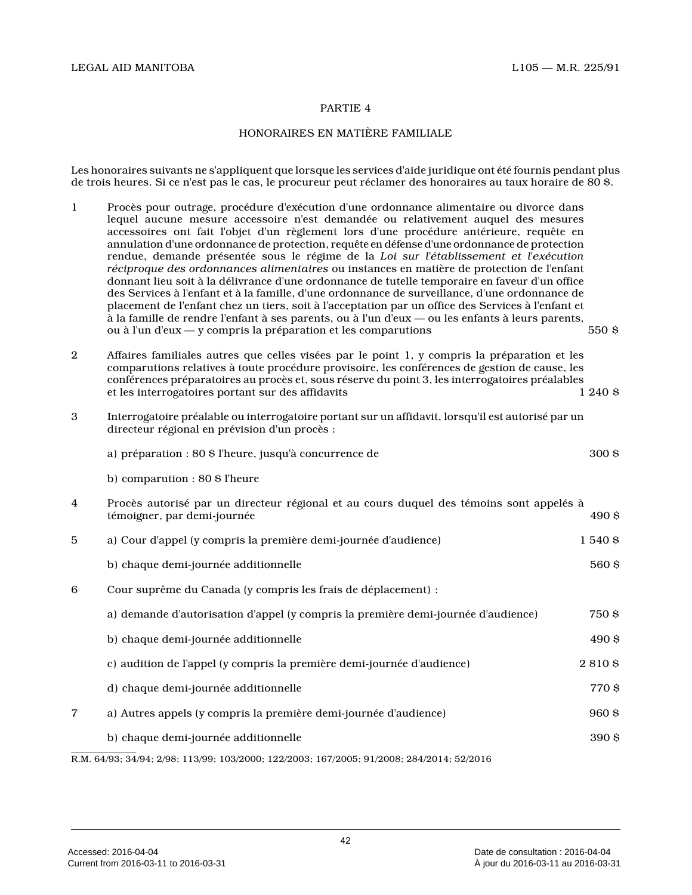### PARTIE 4

## HONORAIRES EN MATIÈRE FAMILIALE

Les honoraires suivants ne s'appliquent que lorsque les services d'aide juridique ont été fournis pendant plus de trois heures. Si ce n'est pas le cas, le procureur peut réclamer des honoraires au taux horaire de 80 \$.

| $\mathbf{1}$     | Procès pour outrage, procédure d'exécution d'une ordonnance alimentaire ou divorce dans<br>lequel aucune mesure accessoire n'est demandée ou relativement auquel des mesures<br>accessoires ont fait l'objet d'un règlement lors d'une procédure antérieure, requête en<br>annulation d'une ordonnance de protection, requête en défense d'une ordonnance de protection<br>rendue, demande présentée sous le régime de la Loi sur l'établissement et l'exécution<br>réciproque des ordonnances alimentaires ou instances en matière de protection de l'enfant<br>donnant lieu soit à la délivrance d'une ordonnance de tutelle temporaire en faveur d'un office<br>des Services à l'enfant et à la famille, d'une ordonnance de surveillance, d'une ordonnance de<br>placement de l'enfant chez un tiers, soit à l'acceptation par un office des Services à l'enfant et<br>à la famille de rendre l'enfant à ses parents, ou à l'un d'eux — ou les enfants à leurs parents,<br>ou à l'un d'eux - y compris la préparation et les comparutions | 550S     |
|------------------|-----------------------------------------------------------------------------------------------------------------------------------------------------------------------------------------------------------------------------------------------------------------------------------------------------------------------------------------------------------------------------------------------------------------------------------------------------------------------------------------------------------------------------------------------------------------------------------------------------------------------------------------------------------------------------------------------------------------------------------------------------------------------------------------------------------------------------------------------------------------------------------------------------------------------------------------------------------------------------------------------------------------------------------------------|----------|
| $\mathbf{2}$     | Affaires familiales autres que celles visées par le point 1, y compris la préparation et les<br>comparutions relatives à toute procédure provisoire, les conférences de gestion de cause, les<br>conférences préparatoires au procès et, sous réserve du point 3, les interrogatoires préalables<br>et les interrogatoires portant sur des affidavits                                                                                                                                                                                                                                                                                                                                                                                                                                                                                                                                                                                                                                                                                         | 1240S    |
| $\boldsymbol{3}$ | Interrogatoire préalable ou interrogatoire portant sur un affidavit, lorsqu'il est autorisé par un<br>directeur régional en prévision d'un procès :                                                                                                                                                                                                                                                                                                                                                                                                                                                                                                                                                                                                                                                                                                                                                                                                                                                                                           |          |
|                  | a) préparation : 80 \$ l'heure, jusqu'à concurrence de                                                                                                                                                                                                                                                                                                                                                                                                                                                                                                                                                                                                                                                                                                                                                                                                                                                                                                                                                                                        | 300\$    |
|                  | b) comparution : 80 \$ l'heure                                                                                                                                                                                                                                                                                                                                                                                                                                                                                                                                                                                                                                                                                                                                                                                                                                                                                                                                                                                                                |          |
| 4                | Procès autorisé par un directeur régional et au cours duquel des témoins sont appelés à<br>témoigner, par demi-journée                                                                                                                                                                                                                                                                                                                                                                                                                                                                                                                                                                                                                                                                                                                                                                                                                                                                                                                        | 490\$    |
| 5                | a) Cour d'appel (y compris la première demi-journée d'audience)                                                                                                                                                                                                                                                                                                                                                                                                                                                                                                                                                                                                                                                                                                                                                                                                                                                                                                                                                                               | 1 540 \$ |
|                  | b) chaque demi-journée additionnelle                                                                                                                                                                                                                                                                                                                                                                                                                                                                                                                                                                                                                                                                                                                                                                                                                                                                                                                                                                                                          | 560 \$   |
| 6                | Cour suprême du Canada (y compris les frais de déplacement) :                                                                                                                                                                                                                                                                                                                                                                                                                                                                                                                                                                                                                                                                                                                                                                                                                                                                                                                                                                                 |          |
|                  | a) demande d'autorisation d'appel (y compris la première demi-journée d'audience)                                                                                                                                                                                                                                                                                                                                                                                                                                                                                                                                                                                                                                                                                                                                                                                                                                                                                                                                                             | 750 S    |
|                  | b) chaque demi-journée additionnelle                                                                                                                                                                                                                                                                                                                                                                                                                                                                                                                                                                                                                                                                                                                                                                                                                                                                                                                                                                                                          | 490 \$   |
|                  | c) audition de l'appel (y compris la première demi-journée d'audience)                                                                                                                                                                                                                                                                                                                                                                                                                                                                                                                                                                                                                                                                                                                                                                                                                                                                                                                                                                        | 2810\$   |
|                  | d) chaque demi-journée additionnelle                                                                                                                                                                                                                                                                                                                                                                                                                                                                                                                                                                                                                                                                                                                                                                                                                                                                                                                                                                                                          | 770 S    |
| 7                | a) Autres appels (y compris la première demi-journée d'audience)                                                                                                                                                                                                                                                                                                                                                                                                                                                                                                                                                                                                                                                                                                                                                                                                                                                                                                                                                                              | 960 S    |
|                  | b) chaque demi-journée additionnelle                                                                                                                                                                                                                                                                                                                                                                                                                                                                                                                                                                                                                                                                                                                                                                                                                                                                                                                                                                                                          | 390 \$   |
|                  | R.M. 64/93; 34/94; 2/98; 113/99; 103/2000; 122/2003; 167/2005; 91/2008; 284/2014; 52/2016                                                                                                                                                                                                                                                                                                                                                                                                                                                                                                                                                                                                                                                                                                                                                                                                                                                                                                                                                     |          |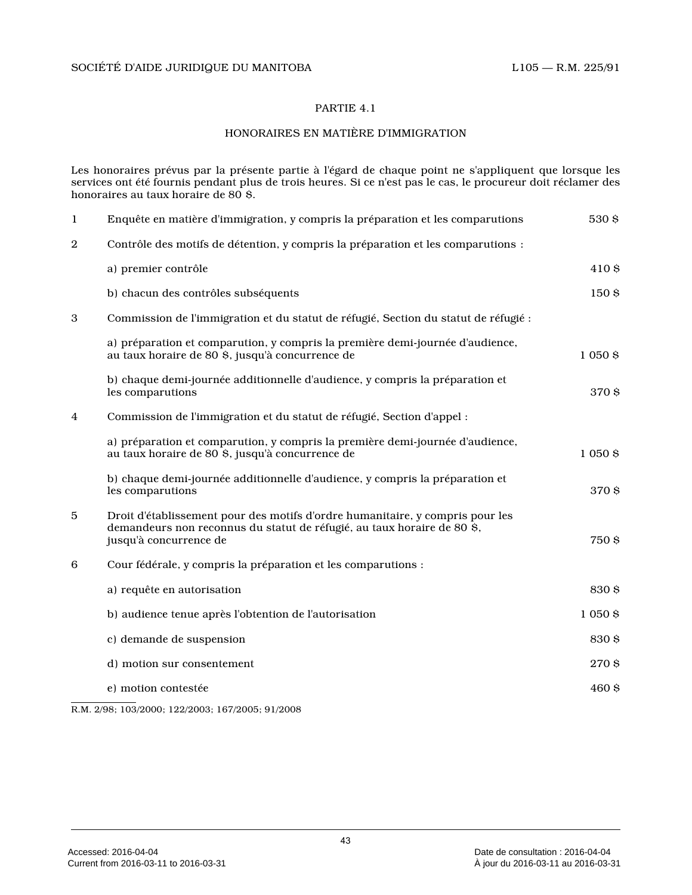### PARTIE 4.1

### HONORAIRES EN MATIÈRE D'IMMIGRATION

Les honoraires prévus par la présente partie à l'égard de chaque point ne s'appliquent que lorsque les services ont été fournis pendant plus de trois heures. Si ce n'est pas le cas, le procureur doit réclamer des honoraires au taux horaire de 80 \$.

| $\mathbf{1}$ | Enquête en matière d'immigration, y compris la préparation et les comparutions                                                                                                     | 530\$      |
|--------------|------------------------------------------------------------------------------------------------------------------------------------------------------------------------------------|------------|
| $\mathbf{2}$ | Contrôle des motifs de détention, y compris la préparation et les comparutions :                                                                                                   |            |
|              | a) premier contrôle                                                                                                                                                                | 410\$      |
|              | b) chacun des contrôles subséquents                                                                                                                                                | 150\$      |
| 3            | Commission de l'immigration et du statut de réfugié, Section du statut de réfugié :                                                                                                |            |
|              | a) préparation et comparution, y compris la première demi-journée d'audience,<br>au taux horaire de 80 \$, jusqu'à concurrence de                                                  | 1 0 5 0 \$ |
|              | b) chaque demi-journée additionnelle d'audience, y compris la préparation et<br>les comparutions                                                                                   | 370\$      |
| 4            | Commission de l'immigration et du statut de réfugié, Section d'appel :                                                                                                             |            |
|              | a) préparation et comparution, y compris la première demi-journée d'audience,<br>au taux horaire de 80 \$, jusqu'à concurrence de                                                  | 1 0 5 0 \$ |
|              | b) chaque demi-journée additionnelle d'audience, y compris la préparation et<br>les comparutions                                                                                   | 370\$      |
| 5            | Droit d'établissement pour des motifs d'ordre humanitaire, y compris pour les<br>demandeurs non reconnus du statut de réfugié, au taux horaire de 80 \$,<br>jusqu'à concurrence de | 750\$      |
| 6            | Cour fédérale, y compris la préparation et les comparutions :                                                                                                                      |            |
|              | a) requête en autorisation                                                                                                                                                         | 830\$      |
|              | b) audience tenue après l'obtention de l'autorisation                                                                                                                              | 1 0 5 0 \$ |
|              | c) demande de suspension                                                                                                                                                           | 830\$      |
|              | d) motion sur consentement                                                                                                                                                         | 270 \$     |
|              | e) motion contestée                                                                                                                                                                | 460\$      |
|              |                                                                                                                                                                                    |            |

R.M. 2/98; 103/2000; 122/2003; 167/2005; 91/2008